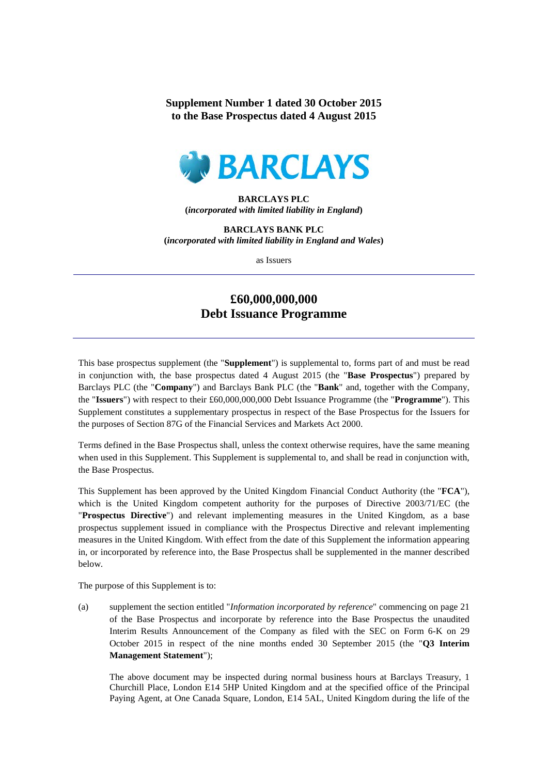## **Supplement Number 1 dated 30 October 2015 to the Base Prospectus dated 4 August 2015**



**BARCLAYS PLC (***incorporated with limited liability in England***)**

**BARCLAYS BANK PLC (***incorporated with limited liability in England and Wales***)**

as Issuers

## **£60,000,000,000 Debt Issuance Programme**

This base prospectus supplement (the "**Supplement**") is supplemental to, forms part of and must be read in conjunction with, the base prospectus dated 4 August 2015 (the "**Base Prospectus**") prepared by Barclays PLC (the "**Company**") and Barclays Bank PLC (the "**Bank**" and, together with the Company, the "**Issuers**") with respect to their £60,000,000,000 Debt Issuance Programme (the "**Programme**"). This Supplement constitutes a supplementary prospectus in respect of the Base Prospectus for the Issuers for the purposes of Section 87G of the Financial Services and Markets Act 2000.

Terms defined in the Base Prospectus shall, unless the context otherwise requires, have the same meaning when used in this Supplement. This Supplement is supplemental to, and shall be read in conjunction with, the Base Prospectus.

This Supplement has been approved by the United Kingdom Financial Conduct Authority (the "**FCA**"), which is the United Kingdom competent authority for the purposes of Directive 2003/71/EC (the "**Prospectus Directive**") and relevant implementing measures in the United Kingdom, as a base prospectus supplement issued in compliance with the Prospectus Directive and relevant implementing measures in the United Kingdom. With effect from the date of this Supplement the information appearing in, or incorporated by reference into, the Base Prospectus shall be supplemented in the manner described below.

The purpose of this Supplement is to:

(a) supplement the section entitled "*Information incorporated by reference*" commencing on page 21 of the Base Prospectus and incorporate by reference into the Base Prospectus the unaudited Interim Results Announcement of the Company as filed with the SEC on Form 6-K on 29 October 2015 in respect of the nine months ended 30 September 2015 (the "**Q3 Interim Management Statement**");

The above document may be inspected during normal business hours at Barclays Treasury, 1 Churchill Place, London E14 5HP United Kingdom and at the specified office of the Principal Paying Agent, at One Canada Square, London, E14 5AL, United Kingdom during the life of the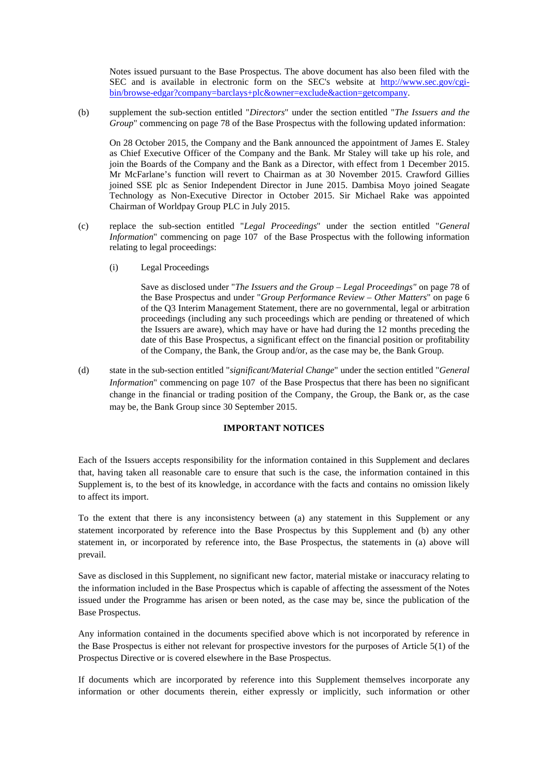Notes issued pursuant to the Base Prospectus. The above document has also been filed with the SEC and is available in electronic form on the SEC's website at [http://www.sec.gov/cgi](http://www.sec.gov/cgi-bin/browse-edgar?company=barclays+plc&owner=exclude&action=getcompany)[bin/browse-edgar?company=barclays+plc&owner=exclude&action=getcompany.](http://www.sec.gov/cgi-bin/browse-edgar?company=barclays+plc&owner=exclude&action=getcompany)

(b) supplement the sub-section entitled "*Directors*" under the section entitled "*The Issuers and the Group*" commencing on page 78 of the Base Prospectus with the following updated information:

On 28 October 2015, the Company and the Bank announced the appointment of James E. Staley as Chief Executive Officer of the Company and the Bank. Mr Staley will take up his role, and join the Boards of the Company and the Bank as a Director, with effect from 1 December 2015. Mr McFarlane's function will revert to Chairman as at 30 November 2015. Crawford Gillies joined SSE plc as Senior Independent Director in June 2015. Dambisa Moyo joined Seagate Technology as Non-Executive Director in October 2015. Sir Michael Rake was appointed Chairman of Worldpay Group PLC in July 2015.

- (c) replace the sub-section entitled "*Legal Proceedings*" under the section entitled "*General Information*" commencing on page 107 of the Base Prospectus with the following information relating to legal proceedings:
	- (i) Legal Proceedings

Save as disclosed under "*The Issuers and the Group – Legal Proceedings"* on page 78 of the Base Prospectus and under "*Group Performance Review – Other Matters*" on page 6 of the Q3 Interim Management Statement, there are no governmental, legal or arbitration proceedings (including any such proceedings which are pending or threatened of which the Issuers are aware), which may have or have had during the 12 months preceding the date of this Base Prospectus, a significant effect on the financial position or profitability of the Company, the Bank, the Group and/or, as the case may be, the Bank Group.

(d) state in the sub-section entitled "*significant/Material Change*" under the section entitled "*General Information*" commencing on page 107 of the Base Prospectus that there has been no significant change in the financial or trading position of the Company, the Group, the Bank or, as the case may be, the Bank Group since 30 September 2015.

## **IMPORTANT NOTICES**

Each of the Issuers accepts responsibility for the information contained in this Supplement and declares that, having taken all reasonable care to ensure that such is the case, the information contained in this Supplement is, to the best of its knowledge, in accordance with the facts and contains no omission likely to affect its import.

To the extent that there is any inconsistency between (a) any statement in this Supplement or any statement incorporated by reference into the Base Prospectus by this Supplement and (b) any other statement in, or incorporated by reference into, the Base Prospectus, the statements in (a) above will prevail.

Save as disclosed in this Supplement, no significant new factor, material mistake or inaccuracy relating to the information included in the Base Prospectus which is capable of affecting the assessment of the Notes issued under the Programme has arisen or been noted, as the case may be, since the publication of the Base Prospectus.

Any information contained in the documents specified above which is not incorporated by reference in the Base Prospectus is either not relevant for prospective investors for the purposes of Article 5(1) of the Prospectus Directive or is covered elsewhere in the Base Prospectus.

If documents which are incorporated by reference into this Supplement themselves incorporate any information or other documents therein, either expressly or implicitly, such information or other